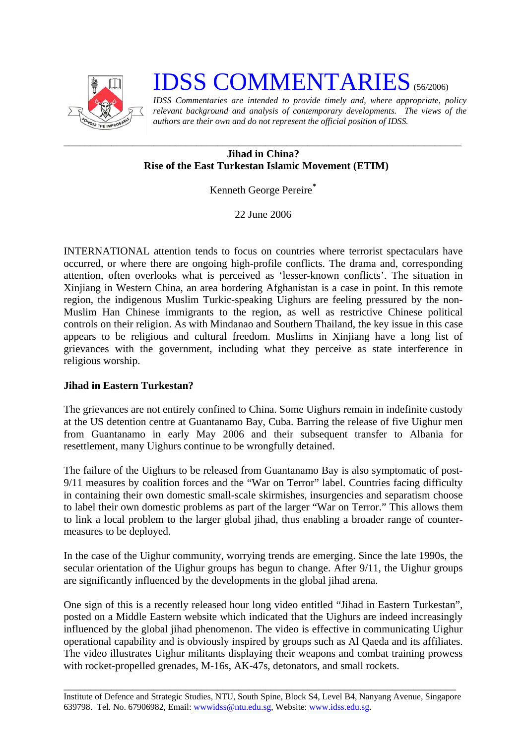

# **IDSS COMMENTARIES** (56/2006)

*IDSS Commentaries are intended to provide timely and, where appropriate, policy relevant background and analysis of contemporary developments. The views of the authors are their own and do not represent the official position of IDSS.* 

### *\_\_\_\_\_\_\_\_\_\_\_\_\_\_\_\_\_\_\_\_\_\_\_\_\_\_\_\_\_\_\_\_\_\_\_\_\_\_\_\_\_\_\_\_\_\_\_\_\_\_\_\_\_\_\_\_\_\_\_\_\_\_\_\_\_\_\_\_\_\_\_\_\_\_\_*  **Jihad in China? Rise of the East Turkestan Islamic Movement (ETIM)**

Kenneth George Pereire**[\\*](#page-2-0)**

22 June 2006

INTERNATIONAL attention tends to focus on countries where terrorist spectaculars have occurred, or where there are ongoing high-profile conflicts. The drama and, corresponding attention, often overlooks what is perceived as 'lesser-known conflicts'. The situation in Xinjiang in Western China, an area bordering Afghanistan is a case in point. In this remote region, the indigenous Muslim Turkic-speaking Uighurs are feeling pressured by the non-Muslim Han Chinese immigrants to the region, as well as restrictive Chinese political controls on their religion. As with Mindanao and Southern Thailand, the key issue in this case appears to be religious and cultural freedom. Muslims in Xinjiang have a long list of grievances with the government, including what they perceive as state interference in religious worship.

## **Jihad in Eastern Turkestan?**

The grievances are not entirely confined to China. Some Uighurs remain in indefinite custody at the US detention centre at Guantanamo Bay, Cuba. Barring the release of five Uighur men from Guantanamo in early May 2006 and their subsequent transfer to Albania for resettlement, many Uighurs continue to be wrongfully detained.

The failure of the Uighurs to be released from Guantanamo Bay is also symptomatic of post-9/11 measures by coalition forces and the "War on Terror" label. Countries facing difficulty in containing their own domestic small-scale skirmishes, insurgencies and separatism choose to label their own domestic problems as part of the larger "War on Terror." This allows them to link a local problem to the larger global jihad, thus enabling a broader range of countermeasures to be deployed.

In the case of the Uighur community, worrying trends are emerging. Since the late 1990s, the secular orientation of the Uighur groups has begun to change. After 9/11, the Uighur groups are significantly influenced by the developments in the global jihad arena.

One sign of this is a recently released hour long video entitled "Jihad in Eastern Turkestan", posted on a Middle Eastern website which indicated that the Uighurs are indeed increasingly influenced by the global jihad phenomenon. The video is effective in communicating Uighur operational capability and is obviously inspired by groups such as Al Qaeda and its affiliates. The video illustrates Uighur militants displaying their weapons and combat training prowess with rocket-propelled grenades, M-16s, AK-47s, detonators, and small rockets.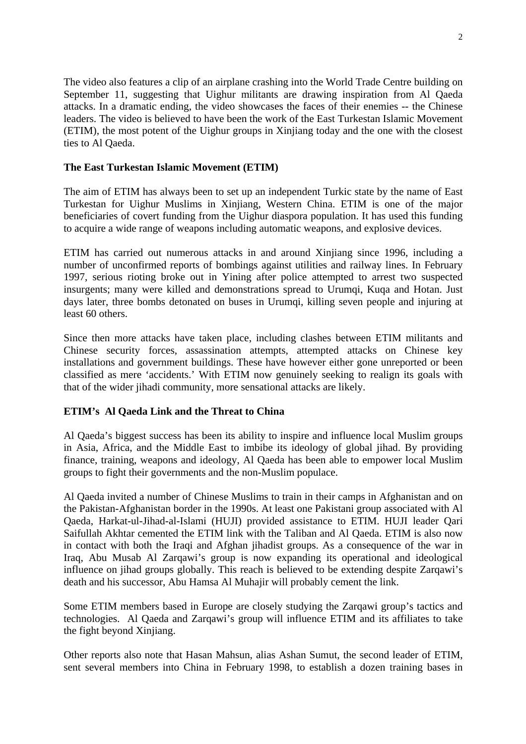The video also features a clip of an airplane crashing into the World Trade Centre building on September 11, suggesting that Uighur militants are drawing inspiration from Al Qaeda attacks. In a dramatic ending, the video showcases the faces of their enemies -- the Chinese leaders. The video is believed to have been the work of the East Turkestan Islamic Movement (ETIM), the most potent of the Uighur groups in Xinjiang today and the one with the closest ties to Al Qaeda.

### **The East Turkestan Islamic Movement (ETIM)**

The aim of ETIM has always been to set up an independent Turkic state by the name of East Turkestan for Uighur Muslims in Xinjiang, Western China. ETIM is one of the major beneficiaries of covert funding from the Uighur diaspora population. It has used this funding to acquire a wide range of weapons including automatic weapons, and explosive devices.

ETIM has carried out numerous attacks in and around Xinjiang since 1996, including a number of unconfirmed reports of bombings against utilities and railway lines. In February 1997, serious rioting broke out in Yining after police attempted to arrest two suspected insurgents; many were killed and demonstrations spread to Urumqi, Kuqa and Hotan. Just days later, three bombs detonated on buses in Urumqi, killing seven people and injuring at least 60 others.

Since then more attacks have taken place, including clashes between ETIM militants and Chinese security forces, assassination attempts, attempted attacks on Chinese key installations and government buildings. These have however either gone unreported or been classified as mere 'accidents.' With ETIM now genuinely seeking to realign its goals with that of the wider jihadi community, more sensational attacks are likely.

## **ETIM's Al Qaeda Link and the Threat to China**

Al Qaeda's biggest success has been its ability to inspire and influence local Muslim groups in Asia, Africa, and the Middle East to imbibe its ideology of global jihad. By providing finance, training, weapons and ideology, Al Qaeda has been able to empower local Muslim groups to fight their governments and the non-Muslim populace.

Al Qaeda invited a number of Chinese Muslims to train in their camps in Afghanistan and on the Pakistan-Afghanistan border in the 1990s. At least one Pakistani group associated with Al Qaeda, Harkat-ul-Jihad-al-Islami (HUJI) provided assistance to ETIM. HUJI leader Qari Saifullah Akhtar cemented the ETIM link with the Taliban and Al Qaeda. ETIM is also now in contact with both the Iraqi and Afghan jihadist groups. As a consequence of the war in Iraq, Abu Musab Al Zarqawi's group is now expanding its operational and ideological influence on jihad groups globally. This reach is believed to be extending despite Zarqawi's death and his successor, Abu Hamsa Al Muhajir will probably cement the link.

Some ETIM members based in Europe are closely studying the Zarqawi group's tactics and technologies. Al Qaeda and Zarqawi's group will influence ETIM and its affiliates to take the fight beyond Xinjiang.

Other reports also note that Hasan Mahsun, alias Ashan Sumut, the second leader of ETIM, sent several members into China in February 1998, to establish a dozen training bases in